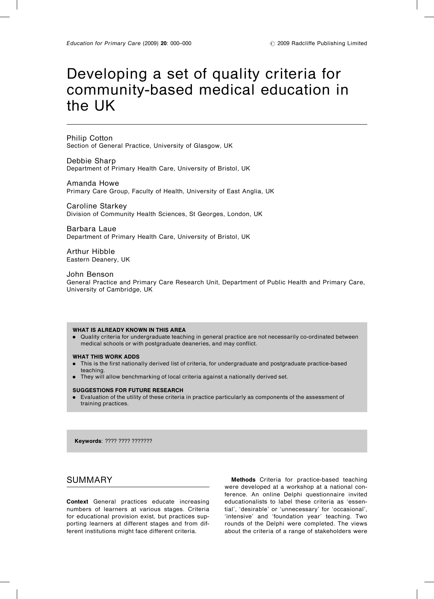# Developing a set of quality criteria for community-based medical education in the UK

Philip Cotton Section of General Practice, University of Glasgow, UK

Debbie Sharp Department of Primary Health Care, University of Bristol, UK

Amanda Howe Primary Care Group, Faculty of Health, University of East Anglia, UK

Caroline Starkey Division of Community Health Sciences, St Georges, London, UK

Barbara Laue Department of Primary Health Care, University of Bristol, UK

Arthur Hibble Eastern Deanery, UK

John Benson

General Practice and Primary Care Research Unit, Department of Public Health and Primary Care, University of Cambridge, UK

#### WHAT IS ALREADY KNOWN IN THIS AREA

. Quality criteria for undergraduate teaching in general practice are not necessarily co-ordinated between medical schools or with postgraduate deaneries, and may conflict.

#### WHAT THIS WORK ADDS

- . This is the first nationally derived list of criteria, for undergraduate and postgraduate practice-based teaching.
- . They will allow benchmarking of local criteria against a nationally derived set.

#### SUGGESTIONS FOR FUTURE RESEARCH

. Evaluation of the utility of these criteria in practice particularly as components of the assessment of training practices.

Keywords: ???? ???? ???????

# SUMMARY

Context General practices educate increasing numbers of learners at various stages. Criteria for educational provision exist, but practices supporting learners at different stages and from different institutions might face different criteria.

Methods Criteria for practice-based teaching were developed at a workshop at a national conference. An online Delphi questionnaire invited educationalists to label these criteria as 'essential', 'desirable' or 'unnecessary' for 'occasional', 'intensive' and 'foundation year' teaching. Two rounds of the Delphi were completed. The views about the criteria of a range of stakeholders were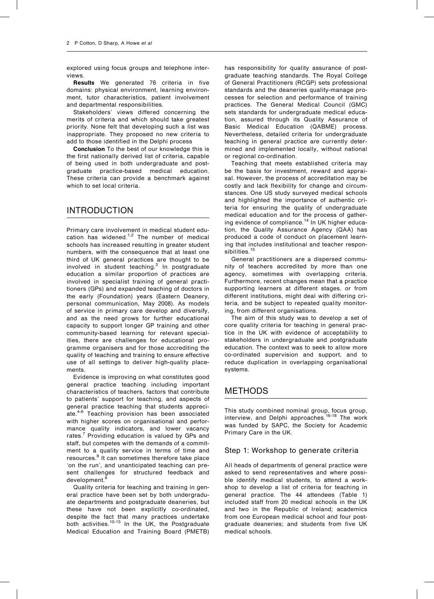explored using focus groups and telephone interviews.

Results We generated 76 criteria in five domains: physical environment, learning environment, tutor characteristics, patient involvement and departmental responsibilities.

Stakeholders' views differed concerning the merits of criteria and which should take greatest priority. None felt that developing such a list was inappropriate. They proposed no new criteria to add to those identified in the Delphi process

Conclusion To the best of our knowledge this is the first nationally derived list of criteria, capable of being used in both undergraduate and postgraduate practice-based medical education. These criteria can provide a benchmark against which to set local criteria.

# INTRODUCTION

Primary care involvement in medical student education has widened. $1,2$  The number of medical schools has increased resulting in greater student numbers, with the consequence that at least one third of UK general practices are thought to be involved in student teaching.<sup>3</sup> In postgraduate education a similar proportion of practices are involved in specialist training of general practitioners (GPs) and expanded teaching of doctors in the early (Foundation) years (Eastern Deanery, personal communication, May 2008). As models of service in primary care develop and diversify, and as the need grows for further educational capacity to support longer GP training and other community-based learning for relevant specialities, there are challenges for educational programme organisers and for those accrediting the quality of teaching and training to ensure effective use of all settings to deliver high-quality placements.

Evidence is improving on what constitutes good general practice teaching including important characteristics of teachers, factors that contribute to patients' support for teaching, and aspects of general practice teaching that students appreciate.<sup>4-6</sup> Teaching provision has been associated with higher scores on organisational and performance quality indicators, and lower vacancy rates. $7$  Providing education is valued by GPs and staff, but competes with the demands of a commitment to a quality service in terms of time and resources.<sup>8</sup> It can sometimes therefore take place 'on the run', and unanticipated teaching can present challenges for structured feedback and development.<sup>9</sup>

Quality criteria for teaching and training in general practice have been set by both undergraduate departments and postgraduate deaneries, but these have not been explicitly co-ordinated, despite the fact that many practices undertake both activities.<sup>10-13</sup> In the UK, the Postgraduate Medical Education and Training Board (PMETB)

has responsibility for quality assurance of postgraduate teaching standards. The Royal College of General Practitioners (RCGP) sets professional standards and the deaneries quality-manage processes for selection and performance of training practices. The General Medical Council (GMC) sets standards for undergraduate medical education, assured through its Quality Assurance of Basic Medical Education (QABME) process. Nevertheless, detailed criteria for undergraduate teaching in general practice are currently determined and implemented locally, without national or regional co-ordination.

Teaching that meets established criteria may be the basis for investment, reward and appraisal. However, the process of accreditation may be costly and lack flexibility for change and circumstances. One US study surveyed medical schools and highlighted the importance of authentic criteria for ensuring the quality of undergraduate medical education and for the process of gathering evidence of compliance.<sup>14</sup> In UK higher education, the Quality Assurance Agency (QAA) has produced a code of conduct on placement learning that includes institutional and teacher responsibilities.<sup>15</sup>

General practitioners are a dispersed community of teachers accredited by more than one agency, sometimes with overlapping criteria. Furthermore, recent changes mean that a practice supporting learners at different stages, or from different institutions, might deal with differing criteria, and be subject to repeated quality monitoring, from different organisations.

The aim of this study was to develop a set of core quality criteria for teaching in general practice in the UK with evidence of acceptability to stakeholders in undergraduate and postgraduate education. The context was to seek to allow more co-ordinated supervision and support, and to reduce duplication in overlapping organisational systems.

# **METHODS**

This study combined nominal group, focus group, interview, and Delphi approaches.<sup>16-18</sup> The work was funded by SAPC, the Society for Academic Primary Care in the UK.

# Step 1: Workshop to generate criteria

All heads of departments of general practice were asked to send representatives and where possible identify medical students, to attend a workshop to develop a list of criteria for teaching in general practice. The 44 attendees (Table 1) included staff from 20 medical schools in the UK and two in the Republic of Ireland; academics from one European medical school and four postgraduate deaneries; and students from five UK medical schools.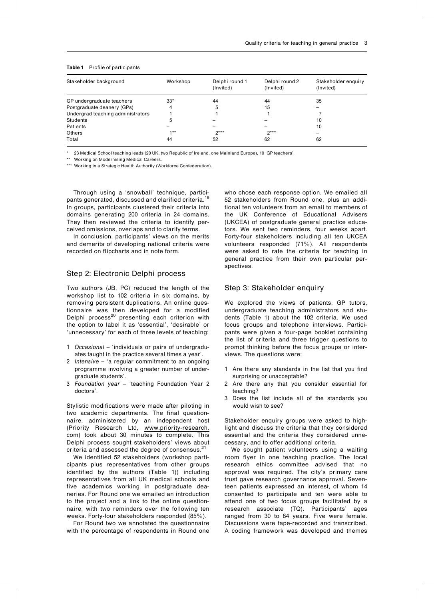#### Table 1 Profile of participants

| Stakeholder background            | Workshop | Delphi round 1<br>(Invited) | Delphi round 2<br>(Invited) | Stakeholder enguiry<br>(Invited) |
|-----------------------------------|----------|-----------------------------|-----------------------------|----------------------------------|
| GP undergraduate teachers         | $33*$    | 44                          | 44                          | 35                               |
| Postgraduate deanery (GPs)        | 4        | 5                           | 15                          |                                  |
| Undergrad teaching administrators |          |                             |                             |                                  |
| <b>Students</b>                   | 5        |                             |                             | 10                               |
| Patients                          |          |                             |                             | 10                               |
| <b>Others</b>                     | $+ * *$  | $2***$                      | $2***$                      |                                  |
| Total                             | 44       | 52                          | 62                          | 62                               |

23 Medical School teaching leads (20 UK, two Republic of Ireland, one Mainland Europe), 10 'GP teachers'.

\*\* Working on Modernising Medical Careers.

\*\*\* Working in a Strategic Health Authority (Workforce Confederation).

Through using a 'snowball' technique, participants generated, discussed and clarified criteria.<sup>19</sup> In groups, participants clustered their criteria into domains generating 200 criteria in 24 domains. They then reviewed the criteria to identify perceived omissions, overlaps and to clarify terms.

In conclusion, participants' views on the merits and demerits of developing national criteria were recorded on flipcharts and in note form.

# Step 2: Electronic Delphi process

Two authors (JB, PC) reduced the length of the workshop list to 102 criteria in six domains, by removing persistent duplications. An online questionnaire was then developed for a modified Delphi process<sup>20</sup> presenting each criterion with the option to label it as 'essential', 'desirable' or 'unnecessary' for each of three levels of teaching:

- 1 Occasional 'individuals or pairs of undergraduates taught in the practice several times a year'.
- 2 Intensive 'a regular commitment to an ongoing programme involving a greater number of undergraduate students'.
- 3 Foundation year 'teaching Foundation Year 2 doctors'.

Stylistic modifications were made after piloting in two academic departments. The final questionnaire, administered by an independent host (Priority Research Ltd, www.priority-research. com) took about 30 minutes to complete. This Delphi process sought stakeholders' views about criteria and assessed the degree of consensus.<sup>21</sup>

We identified 52 stakeholders (workshop participants plus representatives from other groups identified by the authors (Table 1)) including representatives from all UK medical schools and five academics working in postgraduate deaneries. For Round one we emailed an introduction to the project and a link to the online questionnaire, with two reminders over the following ten weeks. Forty-four stakeholders responded (85%).

For Round two we annotated the questionnaire with the percentage of respondents in Round one who chose each response option. We emailed all 52 stakeholders from Round one, plus an additional ten volunteers from an email to members of the UK Conference of Educational Advisers (UKCEA) of postgraduate general practice educators. We sent two reminders, four weeks apart. Forty-four stakeholders including all ten UKCEA volunteers responded (71%). All respondents were asked to rate the criteria for teaching in general practice from their own particular perspectives.

## Step 3: Stakeholder enquiry

We explored the views of patients, GP tutors, undergraduate teaching administrators and students (Table 1) about the 102 criteria. We used focus groups and telephone interviews. Participants were given a four-page booklet containing the list of criteria and three trigger questions to prompt thinking before the focus groups or interviews. The questions were:

- 1 Are there any standards in the list that you find surprising or unacceptable?
- 2 Are there any that you consider essential for teaching?
- 3 Does the list include all of the standards you would wish to see?

Stakeholder enquiry groups were asked to highlight and discuss the criteria that they considered essential and the criteria they considered unnecessary, and to offer additional criteria.

We sought patient volunteers using a waiting room flyer in one teaching practice. The local research ethics committee advised that no approval was required. The city's primary care trust gave research governance approval. Seventeen patients expressed an interest, of whom 14 consented to participate and ten were able to attend one of two focus groups facilitated by a research associate (TQ). Participants' ages ranged from 30 to 84 years. Five were female. Discussions were tape-recorded and transcribed. A coding framework was developed and themes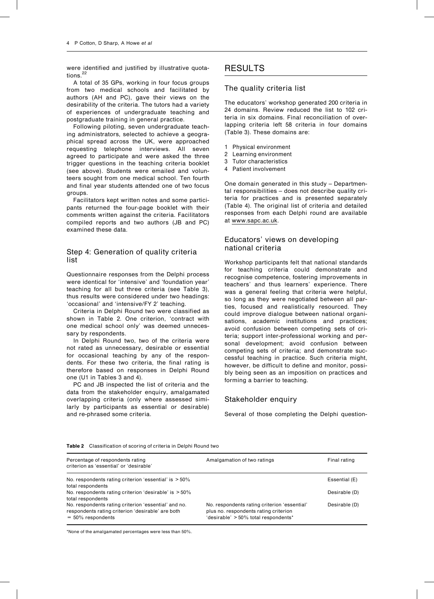were identified and justified by illustrative quotations.<sup>22</sup>

A total of 35 GPs, working in four focus groups from two medical schools and facilitated by authors (AH and PC), gave their views on the desirability of the criteria. The tutors had a variety of experiences of undergraduate teaching and postgraduate training in general practice.

Following piloting, seven undergraduate teaching administrators, selected to achieve a geographical spread across the UK, were approached requesting telephone interviews. All seven agreed to participate and were asked the three trigger questions in the teaching criteria booklet (see above). Students were emailed and volunteers sought from one medical school. Ten fourth and final year students attended one of two focus groups.

Facilitators kept written notes and some participants returned the four-page booklet with their comments written against the criteria. Facilitators compiled reports and two authors (JB and PC) examined these data.

# Step 4: Generation of quality criteria list

Questionnaire responses from the Delphi process were identical for 'intensive' and 'foundation year' teaching for all but three criteria (see Table 3), thus results were considered under two headings: 'occasional' and 'intensive/FY 2' teaching.

Criteria in Delphi Round two were classified as shown in Table 2. One criterion, 'contract with one medical school only' was deemed unnecessary by respondents.

In Delphi Round two, two of the criteria were not rated as unnecessary, desirable or essential for occasional teaching by any of the respondents. For these two criteria, the final rating is therefore based on responses in Delphi Round one (U1 in Tables 3 and 4).

PC and JB inspected the list of criteria and the data from the stakeholder enquiry, amalgamated overlapping criteria (only where assessed similarly by participants as essential or desirable) and re-phrased some criteria.

# RESULTS

### The quality criteria list

The educators' workshop generated 200 criteria in 24 domains. Review reduced the list to 102 criteria in six domains. Final reconciliation of overlapping criteria left 58 criteria in four domains (Table 3). These domains are:

- 1 Physical environment
- 2 Learning environment
- 3 Tutor characteristics
- 4 Patient involvement

One domain generated in this study – Departmental responsibilities – does not describe quality criteria for practices and is presented separately (Table 4). The original list of criteria and detailed responses from each Delphi round are available at www.sapc.ac.uk.

# Educators' views on developing national criteria

Workshop participants felt that national standards for teaching criteria could demonstrate and recognise competence, fostering improvements in teachers' and thus learners' experience. There was a general feeling that criteria were helpful, so long as they were negotiated between all parties, focused and realistically resourced. They could improve dialogue between national organisations, academic institutions and practices; avoid confusion between competing sets of criteria; support inter-professional working and personal development; avoid confusion between competing sets of criteria; and demonstrate successful teaching in practice. Such criteria might, however, be difficult to define and monitor, possibly being seen as an imposition on practices and forming a barrier to teaching.

## Stakeholder enquiry

Several of those completing the Delphi question-

| Percentage of respondents rating<br>criterion as 'essential' or 'desirable'                                                       | Amalgamation of two ratings                                                                                                     | Final rating  |
|-----------------------------------------------------------------------------------------------------------------------------------|---------------------------------------------------------------------------------------------------------------------------------|---------------|
| No. respondents rating criterion 'essential' is $>50\%$<br>total respondents                                                      |                                                                                                                                 | Essential (E) |
| No. respondents rating criterion 'desirable' is $>50\%$<br>total respondents                                                      |                                                                                                                                 | Desirable (D) |
| No. respondents rating criterion 'essential' and no.<br>respondents rating criterion 'desirable' are both<br>$= 50\%$ respondents | No. respondents rating criterion 'essential'<br>plus no. respondents rating criterion<br>'desirable' $>50\%$ total respondents* | Desirable (D) |

Table 2 Classification of scoring of criteria in Delphi Round two

\*None of the amalgamated percentages were less than 50%.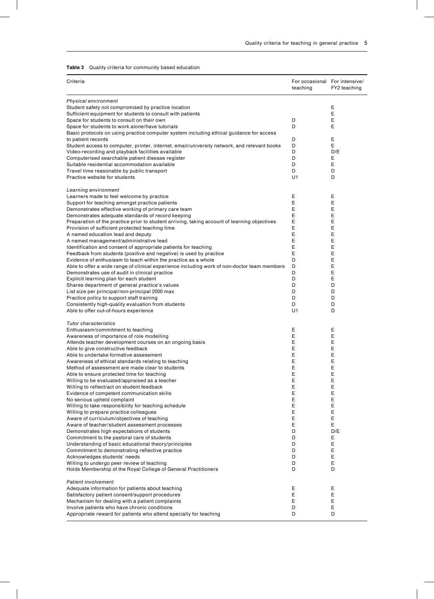### Table 3 Quality criteria for community based education

| Criteria                                                                                                                                                      | For occasional For intensive/<br>teaching | FY2 teaching |
|---------------------------------------------------------------------------------------------------------------------------------------------------------------|-------------------------------------------|--------------|
| Physical environment                                                                                                                                          |                                           |              |
| Student safety not compromised by practice location                                                                                                           |                                           | E            |
| Sufficient equipment for students to consult with patients                                                                                                    |                                           | E            |
| Space for students to consult on their own                                                                                                                    | D<br>D                                    | E<br>Ε       |
| Space for students to work alone/have tutorials<br>Basic protocols on using practice computer system including ethical guidance for access                    |                                           |              |
| to patient records                                                                                                                                            | D                                         | E            |
| Student access to computer, printer, internet, email/university network, and relevant books                                                                   | D                                         | Ε            |
| Video-recording and playback facilities available                                                                                                             | D                                         | D/E          |
| Computerised searchable patient disease register                                                                                                              | D                                         | Е            |
| Suitable residential accommodation available                                                                                                                  | D                                         | Ε            |
| Travel time reasonable by public transport<br>Practice website for students                                                                                   | D<br>U1                                   | D<br>D       |
|                                                                                                                                                               |                                           |              |
| Learning environment                                                                                                                                          |                                           |              |
| Learners made to feel welcome by practice                                                                                                                     | Е<br>Ε                                    | Е            |
| Support for teaching amongst practice patients<br>Demonstrates effective working of primary care team                                                         | Ε                                         | Е<br>E       |
| Demonstrates adequate standards of record keeping                                                                                                             | Е                                         | E            |
| Preparation of the practice prior to student arriving, taking account of learning objectives                                                                  | Ε                                         | Ε            |
| Provision of sufficient protected teaching time                                                                                                               | Е                                         | E            |
| A named education lead and deputy                                                                                                                             | E                                         | E            |
| A named management/administrative lead                                                                                                                        | Ε                                         | E            |
| Identification and consent of appropriate patients for teaching                                                                                               | Ε                                         | Ε            |
| Feedback from students (positive and negative) is used by practice                                                                                            | Ε                                         | E            |
| Evidence of enthusiasm to teach within the practice as a whole<br>Able to offer a wide range of clinical experience including work of non-doctor team members | D<br>D                                    | Е<br>Ε       |
| Demonstrates use of audit in clinical practice                                                                                                                | D                                         | E            |
| Explicit learning plan for each student                                                                                                                       | D                                         | Ε            |
| Shares department of general practice's values                                                                                                                | D                                         | D            |
| List size per principal/non-principal 2000 max                                                                                                                | D                                         | D            |
| Practice policy to support staff training                                                                                                                     | D                                         | D            |
| Consistently high-quality evaluation from students                                                                                                            | D                                         | D            |
| Able to offer out-of-hours experience                                                                                                                         | U1                                        | D            |
| <b>Tutor characteristics</b>                                                                                                                                  |                                           |              |
| Enthusiasm/commitment to teaching                                                                                                                             | Ε                                         | Ε            |
| Awareness of importance of role modelling<br>Attends teacher development courses on an ongoing basis                                                          | Ε<br>Ε                                    | Ε<br>Ε       |
| Able to give constructive feedback                                                                                                                            | Ε                                         | E            |
| Able to undertake formative assessment                                                                                                                        | E                                         | E            |
| Awareness of ethical standards relating to teaching                                                                                                           | Ε                                         | E            |
| Method of assessment are made clear to students                                                                                                               | Ε                                         | E            |
| Able to ensure protected time for teaching                                                                                                                    | Е                                         | E            |
| Willing to be evaluated/appraised as a teacher                                                                                                                | Ε                                         | Ε            |
| Willing to reflect/act on student feedback<br>Evidence of competent communication skills                                                                      | Ε<br>Е                                    | Е<br>E       |
| No serious upheld complaint                                                                                                                                   | Ε                                         | E            |
| Willing to take responsibility for teaching schedule                                                                                                          | Е                                         | E            |
| Willing to prepare practice colleagues                                                                                                                        | Е                                         | E            |
| Aware of curriculum/objectives of teaching                                                                                                                    | Е                                         | E            |
| Aware of teacher/student assessment processes                                                                                                                 | Е                                         | E            |
| Demonstrates high expectations of students                                                                                                                    | D                                         | D/E          |
| Commitment to the pastoral care of students<br>Understanding of basic educational theory/principles                                                           | D<br>D                                    | E<br>E       |
| Commitment to demonstrating reflective practice                                                                                                               | D                                         | E            |
| Acknowledges students' needs                                                                                                                                  | D                                         | Е            |
| Willing to undergo peer review of teaching                                                                                                                    | D                                         | E            |
| Holds Membership of the Royal College of General Practitioners                                                                                                | D                                         | D            |
| <b>Patient involvement</b>                                                                                                                                    |                                           |              |
| Adequate information for patients about teaching                                                                                                              | Е                                         | Е            |
| Satisfactory patient consent/support procedures                                                                                                               | Е                                         | E            |
| Mechanism for dealing with a patient complaints                                                                                                               | Е                                         | Е            |
| Involve patients who have chronic conditions                                                                                                                  | D                                         | Е            |
| Appropriate reward for patients who attend specially for teaching                                                                                             | D                                         | D            |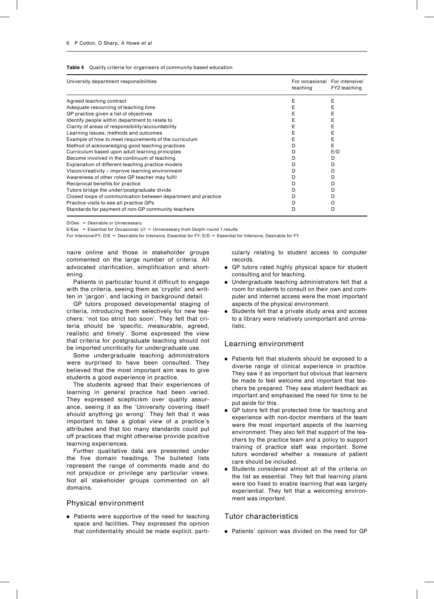|  |  |  |  | <b>Table 4</b> Quality criteria for organisers of community based education |
|--|--|--|--|-----------------------------------------------------------------------------|
|--|--|--|--|-----------------------------------------------------------------------------|

| University department responsibilities                        | For occasional For intensive/<br>teaching | FY2 teaching |
|---------------------------------------------------------------|-------------------------------------------|--------------|
| Agreed teaching contract                                      | Е                                         | Е            |
| Adequate resourcing of teaching time                          | Е                                         | E            |
| GP practice given a list of objectives                        | Е                                         | Е            |
| Identify people within department to relate to                | Ε                                         | Е            |
| Clarity of areas of responsibility/accountability             | Е                                         | Е            |
| Learning issues, methods and outcomes                         | Е                                         | Е            |
| Example of how to meet requirements of the curriculum         | Е                                         | Е            |
| Method of acknowledging good teaching practices               |                                           | E            |
| Curriculum based upon adult learning principles               | D                                         | E/D          |
| Become involved in the continuum of teaching                  | D                                         | D            |
| Explanation of different teaching practice models             | D                                         | D            |
| Vision/creativity – improve learning environment              |                                           | D            |
| Awareness of other roles GP teacher may fulfil                | D                                         | D            |
| Reciprocal benefits for practice                              |                                           | D            |
| Tutors bridge the under/postgraduate divide                   |                                           | D            |
| Closed loops of communication between department and practice |                                           | D            |
| Practice visits to see all practice GPs                       | D                                         | D            |
| Standards for payment of non-GP community teachers            | D                                         | D            |

D/Des = Desirable or Unnecessary

 $E/Ess$  = Essential for Occasional: U1 = Unnecessary from Delphi round 1 results

For Intensive/FY: D/E = Desirable for Intensive, Essential for FY; E/D = Essential for Intensive, Desirable for FY

naire online and those in stakeholder groups commented on the large number of criteria. All advocated clarification, simplification and shortening.

Patients in particular found it difficult to engage with the criteria, seeing them as 'cryptic' and written in 'jargon', and lacking in background detail.

GP tutors proposed developmental staging of criteria, introducing them selectively for new teachers: 'not too strict too soon'. They felt that criteria should be 'specific, measurable, agreed, realistic and timely'. Some expressed the view that criteria for postgraduate teaching should not be imported uncritically for undergraduate use.

Some undergraduate teaching administrators were surprised to have been consulted. They believed that the most important aim was to give students a good experience in practice.

The students agreed that their experiences of learning in general practice had been varied. They expressed scepticism over quality assurance, seeing it as the 'University covering itself should anything go wrong'. They felt that it was important to take a global view of a practice's attributes and that too many standards could put off practices that might otherwise provide positive learning experiences.

Further qualitative data are presented under the five domain headings. The bulleted lists represent the range of comments made and do not prejudice or privilege any particular views. Not all stakeholder groups commented on all domains.

### Physical environment

. Patients were supportive of the need for teaching space and facilities. They expressed the opinion that confidentiality should be made explicit, particularly relating to student access to computer records.

- . GP tutors rated highly physical space for student consulting and for teaching.
- . Undergraduate teaching administrators felt that a room for students to consult on their own and computer and internet access were the most important aspects of the physical environment.
- . Students felt that a private study area and access to a library were relatively unimportant and unrealistic.

# Learning environment

- . Patients felt that students should be exposed to a diverse range of clinical experience in practice. They saw it as important but obvious that learners be made to feel welcome and important that teachers be prepared. They saw student feedback as important and emphasised the need for time to be put aside for this.
- . GP tutors felt that protected time for teaching and experience with non-doctor members of the team were the most important aspects of the learning environment. They also felt that support of the teachers by the practice team and a policy to support training of practice staff was important. Some tutors wondered whether a measure of patient care should be included.
- . Students considered almost all of the criteria on the list as essential. They felt that learning plans were too fixed to enable learning that was largely experiential. They felt that a welcoming environment was important.

## Tutor characteristics

. Patients' opinion was divided on the need for GP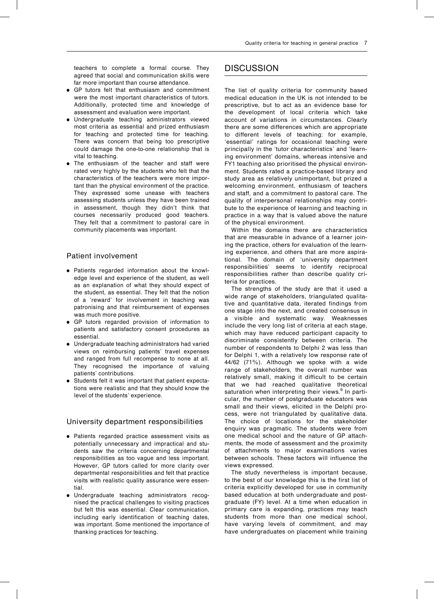teachers to complete a formal course. They agreed that social and communication skills were far more important than course attendance.

- . GP tutors felt that enthusiasm and commitment were the most important characteristics of tutors. Additionally, protected time and knowledge of assessment and evaluation were important.
- . Undergraduate teaching administrators viewed most criteria as essential and prized enthusiasm for teaching and protected time for teaching. There was concern that being too prescriptive could damage the one-to-one relationship that is vital to teaching.
- . The enthusiasm of the teacher and staff were rated very highly by the students who felt that the characteristics of the teachers were more important than the physical environment of the practice. They expressed some unease with teachers assessing students unless they have been trained in assessment, though they didn't think that courses necessarily produced good teachers. They felt that a commitment to pastoral care in community placements was important.

# Patient involvement

- . Patients regarded information about the knowledge level and experience of the student, as well as an explanation of what they should expect of the student, as essential. They felt that the notion of a 'reward' for involvement in teaching was patronising and that reimbursement of expenses was much more positive.
- . GP tutors regarded provision of information to patients and satisfactory consent procedures as essential.
- . Undergraduate teaching administrators had varied views on reimbursing patients' travel expenses and ranged from full recompense to none at all. They recognised the importance of valuing patients' contributions.
- . Students felt it was important that patient expectations were realistic and that they should know the level of the students' experience.

# University department responsibilities

- . Patients regarded practice assessment visits as potentially unnecessary and impractical and students saw the criteria concerning departmental responsibilities as too vague and less important. However, GP tutors called for more clarity over departmental responsibilities and felt that practice visits with realistic quality assurance were essential.
- . Undergraduate teaching administrators recognised the practical challenges to visiting practices but felt this was essential. Clear communication, including early identification of teaching dates, was important. Some mentioned the importance of thanking practices for teaching.

# **DISCUSSION**

The list of quality criteria for community based medical education in the UK is not intended to be prescriptive, but to act as an evidence base for the development of local criteria which take account of variations in circumstances. Clearly there are some differences which are appropriate to different levels of teaching: for example, 'essential' ratings for occasional teaching were principally in the 'tutor characteristics' and 'learning environment' domains, whereas intensive and FY1 teaching also prioritised the physical environment. Students rated a practice-based library and study area as relatively unimportant, but prized a welcoming environment, enthusiasm of teachers and staff, and a commitment to pastoral care. The quality of interpersonal relationships may contribute to the experience of learning and teaching in practice in a way that is valued above the nature of the physical environment.

Within the domains there are characteristics that are measurable in advance of a learner joining the practice, others for evaluation of the learning experience, and others that are more aspirational. The domain of 'university department responsibilities' seems to identify reciprocal responsibilities rather than describe quality criteria for practices.

The strengths of the study are that it used a wide range of stakeholders, triangulated qualitative and quantitative data, iterated findings from one stage into the next, and created consensus in a visible and systematic way. Weaknesses include the very long list of criteria at each stage, which may have reduced participant capacity to discriminate consistently between criteria. The number of respondents to Delphi 2 was less than for Delphi 1, with a relatively low response rate of 44/62 (71%). Although we spoke with a wide range of stakeholders, the overall number was relatively small, making it difficult to be certain that we had reached qualitative theoretical saturation when interpreting their views.<sup>6</sup> In particular, the number of postgraduate educators was small and their views, elicited in the Delphi process, were not triangulated by qualitative data. The choice of locations for the stakeholder enquiry was pragmatic. The students were from one medical school and the nature of GP attachments, the mode of assessment and the proximity of attachments to major examinations varies between schools. These factors will influence the views expressed.

The study nevertheless is important because, to the best of our knowledge this is the first list of criteria explicitly developed for use in community based education at both undergraduate and postgraduate (FY) level. At a time when education in primary care is expanding, practices may teach students from more than one medical school, have varying levels of commitment, and may have undergraduates on placement while training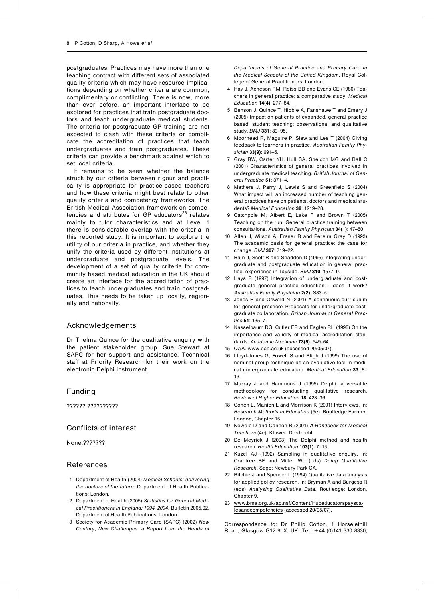postgraduates. Practices may have more than one teaching contract with different sets of associated quality criteria which may have resource implications depending on whether criteria are common, complimentary or conflicting. There is now, more than ever before, an important interface to be explored for practices that train postgraduate doctors and teach undergraduate medical students. The criteria for postgraduate GP training are not expected to clash with these criteria or complicate the accreditation of practices that teach undergraduates and train postgraduates. These criteria can provide a benchmark against which to set local criteria.

It remains to be seen whether the balance struck by our criteria between rigour and practicality is appropriate for practice-based teachers and how these criteria might best relate to other quality criteria and competency frameworks. The British Medical Association framework on competencies and attributes for GP educators $^{23}$  relates mainly to tutor characteristics and at Level 1 there is considerable overlap with the criteria in this reported study. It is important to explore the utility of our criteria in practice, and whether they unify the criteria used by different institutions at undergraduate and postgraduate levels. The development of a set of quality criteria for community based medical education in the UK should create an interface for the accreditation of practices to teach undergraduates and train postgraduates. This needs to be taken up locally, regionally and nationally.

## Acknowledgements

Dr Thelma Quince for the qualitative enquiry with the patient stakeholder group. Sue Stewart at SAPC for her support and assistance. Technical staff at Priority Research for their work on the electronic Delphi instrument.

# Funding

?????? ??????????

# Conflicts of interest

None.???????

## References

- 1 Department of Health (2004) Medical Schools: delivering the doctors of the future. Department of Health Publications: London.
- 2 Department of Health (2005) Statistics for General Medical Practitioners in England: 1994–2004. Bulletin 2005.02. Department of Health Publications: London.
- 3 Society for Academic Primary Care (SAPC) (2002) New Century, New Challenges: a Report from the Heads of

Departments of General Practice and Primary Care in the Medical Schools of the United Kingdom. Royal College of General Practitioners: London.

- 4 Hay J, Acheson RM, Reiss BB and Evans CE (1980) Teachers in general practice: a comparative study. Medical Education 14(4): 277–84.
- 5 Benson J, Quince T, Hibble A, Fanshawe T and Emery J (2005) Impact on patients of expanded, general practice based, student teaching: observational and qualitative study. BMJ 331: 89–95.
- 6 Moorhead R, Maguire P, Siew and Lee T (2004) Giving feedback to learners in practice. Australian Family Physician 33(9): 691-5.
- 7 Gray RW, Carter YH, Hull SA, Sheldon MG and Ball C (2001) Characteristics of general practices involved in undergraduate medical teaching. British Journal of General Practice 51: 371–4.
- 8 Mathers J, Parry J, Lewis S and Greenfield S (2004) What impact will an increased number of teaching general practices have on patients, doctors and medical students? Medical Education 38: 1219–28.
- 9 Catchpole M, Albert E, Lake F and Brown T (2005) Teaching on the run. General practice training between consultations. Australian Family Physician 34(1): 47–50.
- 10 Allen J, Wilson A, Fraser R and Pereira Gray D (1993) The academic basis for general practice: the case for change. BMJ 307: 719-22.
- 11 Bain J, Scott R and Snadden D (1995) Integrating undergraduate and postgraduate education in general practice: experience in Tayside. BMJ 310: 1577-9.
- 12 Hays R (1997) Integration of undergraduate and postgraduate general practice education – does it work? Australian Family Physician 2(2): S83-6.
- 13 Jones R and Oswald N (2001) A continuous curriculum for general practice? Proposals for undergraduate-postgraduate collaboration. British Journal of General Practice 51: 135–7.
- 14 Kasselbaum DG, Cutler ER and Eaglen RH (1998) On the importance and validity of medical accreditation standards. Academic Medicine 73(5): 549–64.
- 15 QAA. www.qaa.ac.uk (accessed 20/05/07).
- 16 Lloyd-Jones G, Fowell S and Bligh J (1999) The use of nominal group technique as an evaluative tool in medical undergraduate education. Medical Education 33: 8– 13.
- 17 Murray J and Hammons J (1995) Delphi: a versatile methodology for conducting qualitative research. Review of Higher Education 18: 423–36.
- 18 Cohen L, Manion L and Morrison K (2001) Interviews. In: Research Methods in Education (5e). Routledge Farmer: London, Chapter 15.
- 19 Newble D and Cannon R (2001) A Handbook for Medical Teachers (4e). Kluwer: Dordrecht.
- 20 De Meyrick J (2003) The Delphi method and health research. Health Education 103(1): 7-16.
- 21 Kuzel AJ (1992) Sampling in qualitative enquiry. In: Crabtree BF and Miller WL (eds) Doing Qualitative Research. Sage: Newbury Park CA.
- 22 Ritchie J and Spencer L (1994) Qualitative data analysis for applied policy research. In: Bryman A and Burgess R (eds) Analysing Qualitative Data. Routledge: London. Chapter 9.
- 23 www.bma.org.uk/ap.nsf/Content/Hubeducatorspayscalesandcompetencies (accessed 20/05/07).

Correspondence to: Dr Philip Cotton, 1 Horselethill Road, Glasgow G12 9LX, UK. Tel: +44 (0)141 330 8330;